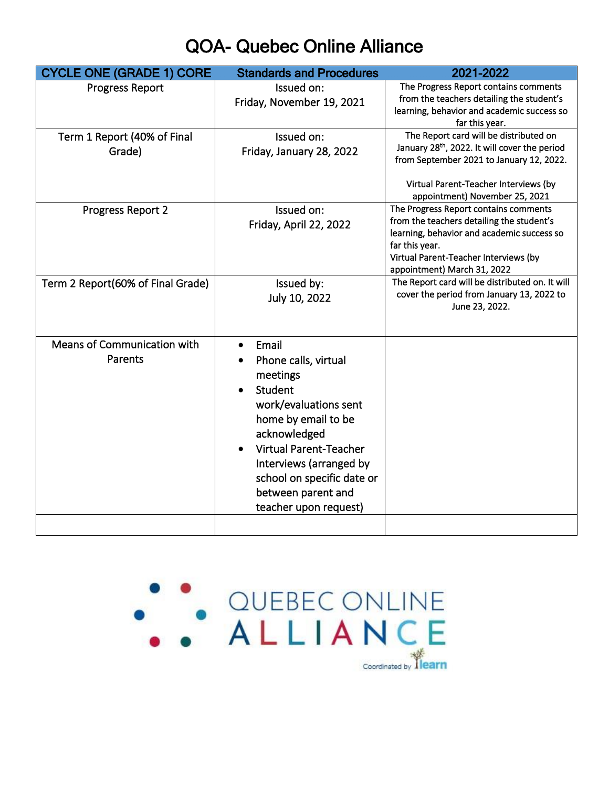## QOA- Quebec Online Alliance

| <b>CYCLE ONE (GRADE 1) CORE</b>        | <b>Standards and Procedures</b>                                                                                                                                                                                                                               | 2021-2022                                                                                                                                                                                                                  |
|----------------------------------------|---------------------------------------------------------------------------------------------------------------------------------------------------------------------------------------------------------------------------------------------------------------|----------------------------------------------------------------------------------------------------------------------------------------------------------------------------------------------------------------------------|
| <b>Progress Report</b>                 | Issued on:<br>Friday, November 19, 2021                                                                                                                                                                                                                       | The Progress Report contains comments<br>from the teachers detailing the student's<br>learning, behavior and academic success so<br>far this year.                                                                         |
| Term 1 Report (40% of Final<br>Grade)  | Issued on:<br>Friday, January 28, 2022                                                                                                                                                                                                                        | The Report card will be distributed on<br>January 28 <sup>th</sup> , 2022. It will cover the period<br>from September 2021 to January 12, 2022.<br>Virtual Parent-Teacher Interviews (by<br>appointment) November 25, 2021 |
| Progress Report 2                      | Issued on:<br>Friday, April 22, 2022                                                                                                                                                                                                                          | The Progress Report contains comments<br>from the teachers detailing the student's<br>learning, behavior and academic success so<br>far this year.<br>Virtual Parent-Teacher Interviews (by<br>appointment) March 31, 2022 |
| Term 2 Report(60% of Final Grade)      | Issued by:<br>July 10, 2022                                                                                                                                                                                                                                   | The Report card will be distributed on. It will<br>cover the period from January 13, 2022 to<br>June 23, 2022.                                                                                                             |
| Means of Communication with<br>Parents | Email<br>Phone calls, virtual<br>meetings<br>Student<br>work/evaluations sent<br>home by email to be<br>acknowledged<br><b>Virtual Parent-Teacher</b><br>Interviews (arranged by<br>school on specific date or<br>between parent and<br>teacher upon request) |                                                                                                                                                                                                                            |
|                                        |                                                                                                                                                                                                                                                               |                                                                                                                                                                                                                            |

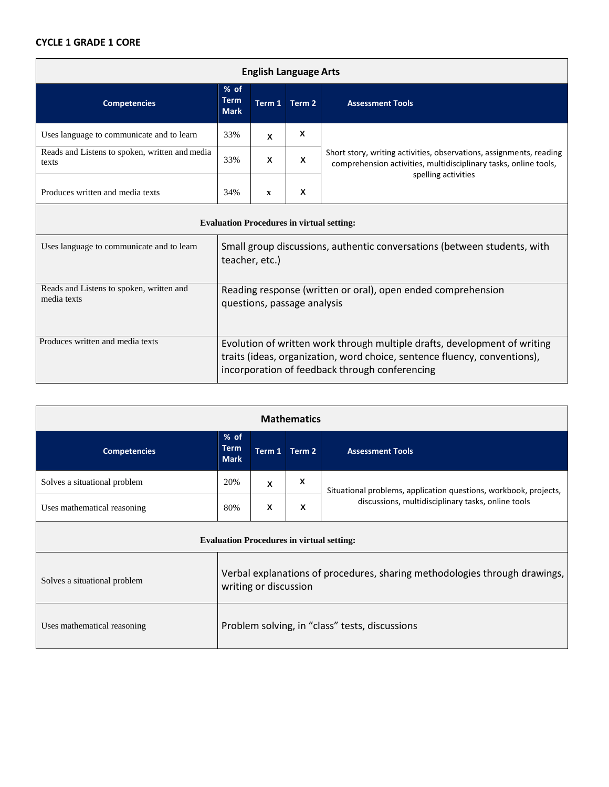## **CYCLE 1 GRADE 1 CORE**

| <b>English Language Arts</b>                            |                                                                                                                                                        |              |               |                                                                                                                                                                |
|---------------------------------------------------------|--------------------------------------------------------------------------------------------------------------------------------------------------------|--------------|---------------|----------------------------------------------------------------------------------------------------------------------------------------------------------------|
| <b>Competencies</b>                                     | $%$ of<br><b>Term</b><br><b>Mark</b>                                                                                                                   |              | Term 1 Term 2 | <b>Assessment Tools</b>                                                                                                                                        |
| Uses language to communicate and to learn               | 33%                                                                                                                                                    | X            | X             |                                                                                                                                                                |
| Reads and Listens to spoken, written and media<br>texts | 33%                                                                                                                                                    | X            | $\mathbf{x}$  | Short story, writing activities, observations, assignments, reading<br>comprehension activities, multidisciplinary tasks, online tools,<br>spelling activities |
| Produces written and media texts                        | 34%                                                                                                                                                    | $\mathbf{x}$ | X             |                                                                                                                                                                |
| <b>Evaluation Procedures in virtual setting:</b>        |                                                                                                                                                        |              |               |                                                                                                                                                                |
| Uses language to communicate and to learn               | Small group discussions, authentic conversations (between students, with<br>teacher, etc.)                                                             |              |               |                                                                                                                                                                |
| Reads and Listens to spoken, written and<br>media texts | Reading response (written or oral), open ended comprehension<br>questions, passage analysis                                                            |              |               |                                                                                                                                                                |
| Produces written and media texts                        | Evolution of written work through multiple drafts, development of writing<br>traits (ideas, organization, word choice, sentence fluency, conventions), |              |               |                                                                                                                                                                |

| <b>Mathematics</b>                               |                                                                                                     |        |        |                                                                  |
|--------------------------------------------------|-----------------------------------------------------------------------------------------------------|--------|--------|------------------------------------------------------------------|
| <b>Competencies</b>                              | $%$ of<br><b>Term</b><br><b>Mark</b>                                                                | Term 1 | Term 2 | <b>Assessment Tools</b>                                          |
| Solves a situational problem                     | 20%                                                                                                 | X      | X      | Situational problems, application questions, workbook, projects, |
| Uses mathematical reasoning                      | 80%                                                                                                 | X      | X      | discussions, multidisciplinary tasks, online tools               |
| <b>Evaluation Procedures in virtual setting:</b> |                                                                                                     |        |        |                                                                  |
| Solves a situational problem                     | Verbal explanations of procedures, sharing methodologies through drawings,<br>writing or discussion |        |        |                                                                  |
| Uses mathematical reasoning                      | Problem solving, in "class" tests, discussions                                                      |        |        |                                                                  |

incorporation of feedback through conferencing